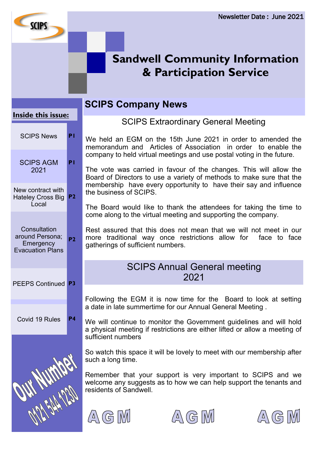

#### **Inside this issue:**

**SCIPS** 

| <b>SCIPS News</b>                                                       | ΡI             |
|-------------------------------------------------------------------------|----------------|
| <b>SCIPS AGM</b><br>2021                                                | P I            |
| New contract with<br><b>Hateley Cross Big</b><br>Local                  | P <sub>2</sub> |
| Consultation<br>around Persona;<br>Emergency<br><b>Evacuation Plans</b> | P <sub>2</sub> |
| <b>PEEPS Continued</b>                                                  | P <sub>3</sub> |
| Covid 19 Rules                                                          | Р4             |
|                                                                         |                |

# **SCIPS Company News**

SCIPS Extraordinary General Meeting

We held an EGM on the 15th June 2021 in order to amended the memorandum and Articles of Association in order to enable the company to held virtual meetings and use postal voting in the future.

The vote was carried in favour of the changes. This will allow the Board of Directors to use a variety of methods to make sure that the membership have every opportunity to have their say and influence the business of SCIPS.

The Board would like to thank the attendees for taking the time to come along to the virtual meeting and supporting the company.

Rest assured that this does not mean that we will not meet in our more traditional way once restrictions allow for face to face gatherings of sufficient numbers.

### SCIPS Annual General meeting 2021

Following the EGM it is now time for the Board to look at setting a date in late summertime for our Annual General Meeting .

We will continue to monitor the Government guidelines and will hold a physical meeting if restrictions are either lifted or allow a meeting of sufficient numbers

So watch this space it will be lovely to meet with our membership after such a long time.

Remember that your support is very important to SCIPS and we welcome any suggests as to how we can help support the tenants and residents of Sandwell.





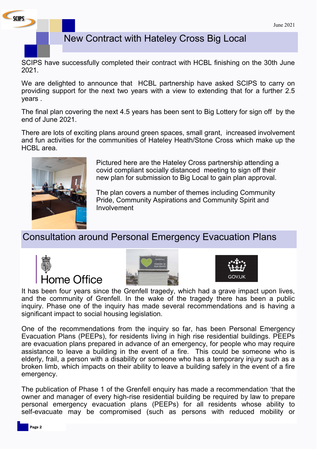

## New Contract with Hateley Cross Big Local

SCIPS have successfully completed their contract with HCBL finishing on the 30th June 2021.

We are delighted to announce that HCBL partnership have asked SCIPS to carry on providing support for the next two years with a view to extending that for a further 2.5 years .

The final plan covering the next 4.5 years has been sent to Big Lottery for sign off by the end of June 2021.

There are lots of exciting plans around green spaces, small grant, increased involvement and fun activities for the communities of Hateley Heath/Stone Cross which make up the HCBL area.



Pictured here are the Hateley Cross partnership attending a covid compliant socially distanced meeting to sign off their new plan for submission to Big Local to gain plan approval.

The plan covers a number of themes including Community Pride, Community Aspirations and Community Spirit and Involvement

# Consultation around Personal Emergency Evacuation Plans







It has been four years since the Grenfell tragedy, which had a grave impact upon lives, and the community of Grenfell. In the wake of the tragedy there has been a public inquiry. Phase one of the inquiry has made several recommendations and is having a significant impact to social housing legislation.

One of the recommendations from the inquiry so far, has been Personal Emergency Evacuation Plans (PEEPs), for residents living in high rise residential buildings. PEEPs are evacuation plans prepared in advance of an emergency, for people who may require assistance to leave a building in the event of a fire. This could be someone who is elderly, frail, a person with a disability or someone who has a temporary injury such as a broken limb, which impacts on their ability to leave a building safely in the event of a fire emergency.

The publication of Phase 1 of the Grenfell enquiry has made a recommendation 'that the owner and manager of every high-rise residential building be required by law to prepare personal emergency evacuation plans (PEEPs) for all residents whose ability to self-evacuate may be compromised (such as persons with reduced mobility or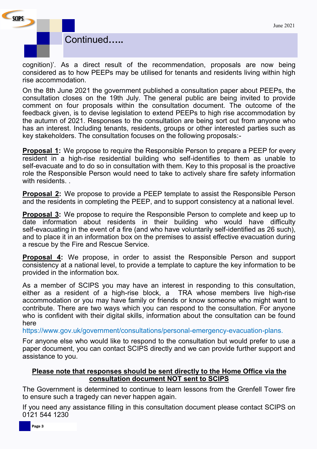

cognition)'. As a direct result of the recommendation, proposals are now being considered as to how PEEPs may be utilised for tenants and residents living within high rise accommodation.

On the 8th June 2021 the government published a consultation paper about PEEPs, the consultation closes on the 19th July. The general public are being invited to provide comment on four proposals within the consultation document. The outcome of the feedback given, is to devise legislation to extend PEEPs to high rise accommodation by the autumn of 2021. Responses to the consultation are being sort out from anyone who has an interest. Including tenants, residents, groups or other interested parties such as key stakeholders. The consultation focuses on the following proposals:-

**Proposal 1:** We propose to require the Responsible Person to prepare a PEEP for every resident in a high-rise residential building who self-identifies to them as unable to self-evacuate and to do so in consultation with them. Key to this proposal is the proactive role the Responsible Person would need to take to actively share fire safety information with residents.

**Proposal 2:** We propose to provide a PEEP template to assist the Responsible Person and the residents in completing the PEEP, and to support consistency at a national level.

**Proposal 3:** We propose to require the Responsible Person to complete and keep up to date information about residents in their building who would have difficulty self-evacuating in the event of a fire (and who have voluntarily self-identified as 26 such), and to place it in an information box on the premises to assist effective evacuation during a rescue by the Fire and Rescue Service.

**Proposal 4:** We propose, in order to assist the Responsible Person and support consistency at a national level, to provide a template to capture the key information to be provided in the information box.

As a member of SCIPS you may have an interest in responding to this consultation, either as a resident of a high-rise block, a TRA whose members live high-rise accommodation or you may have family or friends or know someone who might want to contribute. There are two ways which you can respond to the consultation. For anyone who is confident with their digital skills, information about the consultation can be found here

https://www.gov.uk/government/consultations/personal-emergency-evacuation-plans.

For anyone else who would like to respond to the consultation but would prefer to use a paper document, you can contact SCIPS directly and we can provide further support and assistance to you.

#### **Please note that responses should be sent directly to the Home Office via the consultation document NOT sent to SCIPS**

The Government is determined to continue to learn lessons from the Grenfell Tower fire to ensure such a tragedy can never happen again.

If you need any assistance filling in this consultation document please contact SCIPS on 0121 544 1230